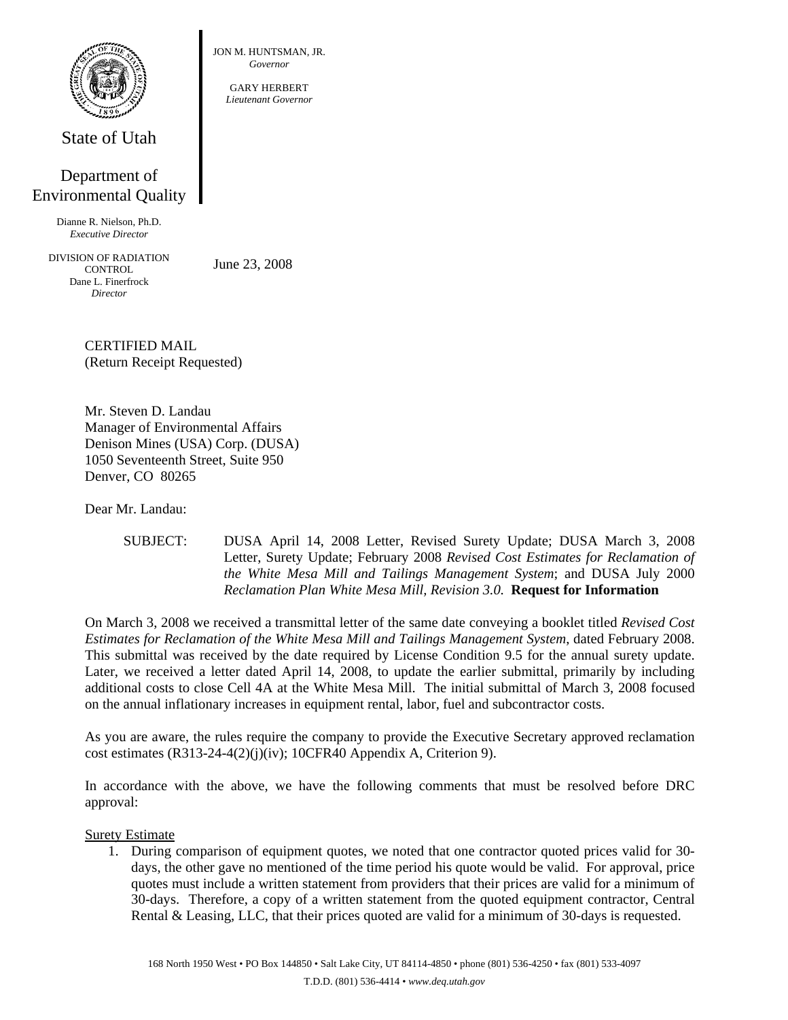

State of Utah

## Department of Environmental Quality

Dianne R. Nielson, Ph.D. *Executive Director* 

DIVISION OF RADIATION **CONTROL** Dane L. Finerfrock *Director* 

June 23, 2008

JON M. HUNTSMAN, JR. *Governor*  GARY HERBERT *Lieutenant Governor*

CERTIFIED MAIL (Return Receipt Requested)

Mr. Steven D. Landau Manager of Environmental Affairs Denison Mines (USA) Corp. (DUSA) 1050 Seventeenth Street, Suite 950 Denver, CO 80265

Dear Mr. Landau:

SUBJECT: DUSA April 14, 2008 Letter, Revised Surety Update; DUSA March 3, 2008 Letter, Surety Update; February 2008 *Revised Cost Estimates for Reclamation of the White Mesa Mill and Tailings Management System*; and DUSA July 2000 *Reclamation Plan White Mesa Mill, Revision 3.0.* **Request for Information** 

On March 3, 2008 we received a transmittal letter of the same date conveying a booklet titled *Revised Cost Estimates for Reclamation of the White Mesa Mill and Tailings Management System*, dated February 2008. This submittal was received by the date required by License Condition 9.5 for the annual surety update. Later, we received a letter dated April 14, 2008, to update the earlier submittal, primarily by including additional costs to close Cell 4A at the White Mesa Mill. The initial submittal of March 3, 2008 focused on the annual inflationary increases in equipment rental, labor, fuel and subcontractor costs.

As you are aware, the rules require the company to provide the Executive Secretary approved reclamation cost estimates (R313-24-4(2)(j)(iv); 10CFR40 Appendix A, Criterion 9).

In accordance with the above, we have the following comments that must be resolved before DRC approval:

## Surety Estimate

1. During comparison of equipment quotes, we noted that one contractor quoted prices valid for 30 days, the other gave no mentioned of the time period his quote would be valid. For approval, price quotes must include a written statement from providers that their prices are valid for a minimum of 30-days. Therefore, a copy of a written statement from the quoted equipment contractor, Central Rental & Leasing, LLC, that their prices quoted are valid for a minimum of 30-days is requested.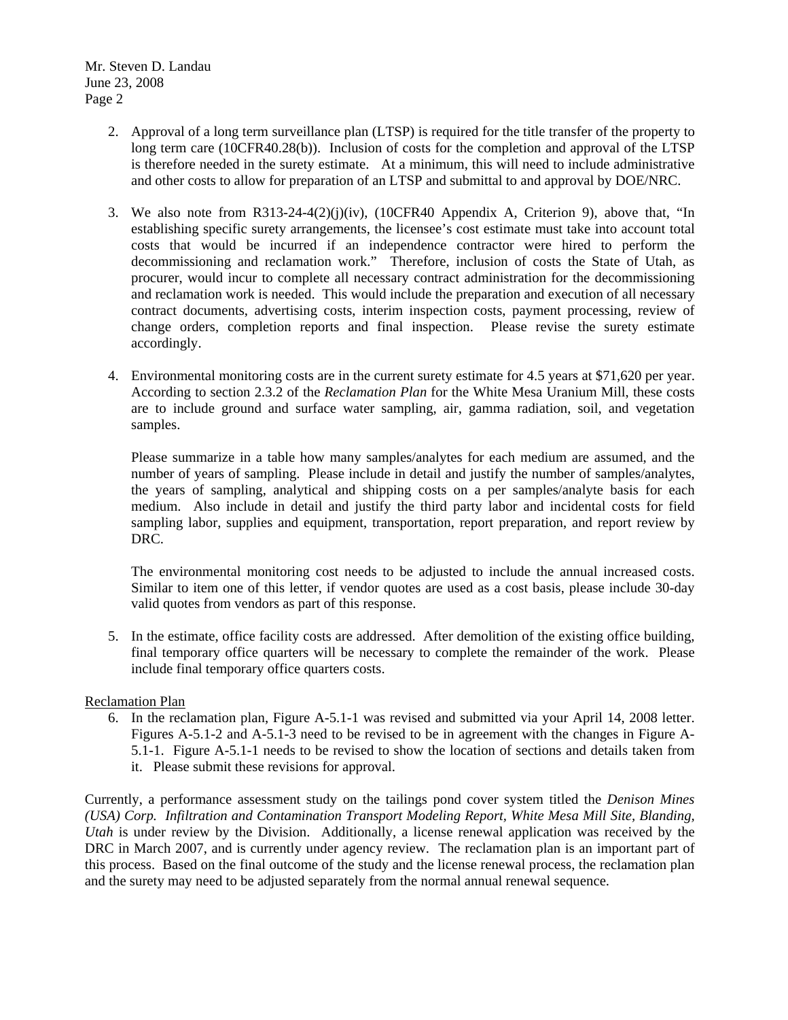- 2. Approval of a long term surveillance plan (LTSP) is required for the title transfer of the property to long term care (10CFR40.28(b)). Inclusion of costs for the completion and approval of the LTSP is therefore needed in the surety estimate. At a minimum, this will need to include administrative and other costs to allow for preparation of an LTSP and submittal to and approval by DOE/NRC.
- 3. We also note from R313-24-4(2)(j)(iv), (10CFR40 Appendix A, Criterion 9), above that, "In establishing specific surety arrangements, the licensee's cost estimate must take into account total costs that would be incurred if an independence contractor were hired to perform the decommissioning and reclamation work." Therefore, inclusion of costs the State of Utah, as procurer, would incur to complete all necessary contract administration for the decommissioning and reclamation work is needed. This would include the preparation and execution of all necessary contract documents, advertising costs, interim inspection costs, payment processing, review of change orders, completion reports and final inspection. Please revise the surety estimate accordingly.
- 4. Environmental monitoring costs are in the current surety estimate for 4.5 years at \$71,620 per year. According to section 2.3.2 of the *Reclamation Plan* for the White Mesa Uranium Mill, these costs are to include ground and surface water sampling, air, gamma radiation, soil, and vegetation samples.

Please summarize in a table how many samples/analytes for each medium are assumed, and the number of years of sampling. Please include in detail and justify the number of samples/analytes, the years of sampling, analytical and shipping costs on a per samples/analyte basis for each medium. Also include in detail and justify the third party labor and incidental costs for field sampling labor, supplies and equipment, transportation, report preparation, and report review by DRC.

The environmental monitoring cost needs to be adjusted to include the annual increased costs. Similar to item one of this letter, if vendor quotes are used as a cost basis, please include 30-day valid quotes from vendors as part of this response.

5. In the estimate, office facility costs are addressed. After demolition of the existing office building, final temporary office quarters will be necessary to complete the remainder of the work. Please include final temporary office quarters costs.

## Reclamation Plan

6. In the reclamation plan, Figure A-5.1-1 was revised and submitted via your April 14, 2008 letter. Figures A-5.1-2 and A-5.1-3 need to be revised to be in agreement with the changes in Figure A-5.1-1. Figure A-5.1-1 needs to be revised to show the location of sections and details taken from it. Please submit these revisions for approval.

Currently, a performance assessment study on the tailings pond cover system titled the *Denison Mines (USA) Corp. Infiltration and Contamination Transport Modeling Report, White Mesa Mill Site, Blanding, Utah* is under review by the Division. Additionally, a license renewal application was received by the DRC in March 2007, and is currently under agency review. The reclamation plan is an important part of this process. Based on the final outcome of the study and the license renewal process, the reclamation plan and the surety may need to be adjusted separately from the normal annual renewal sequence.